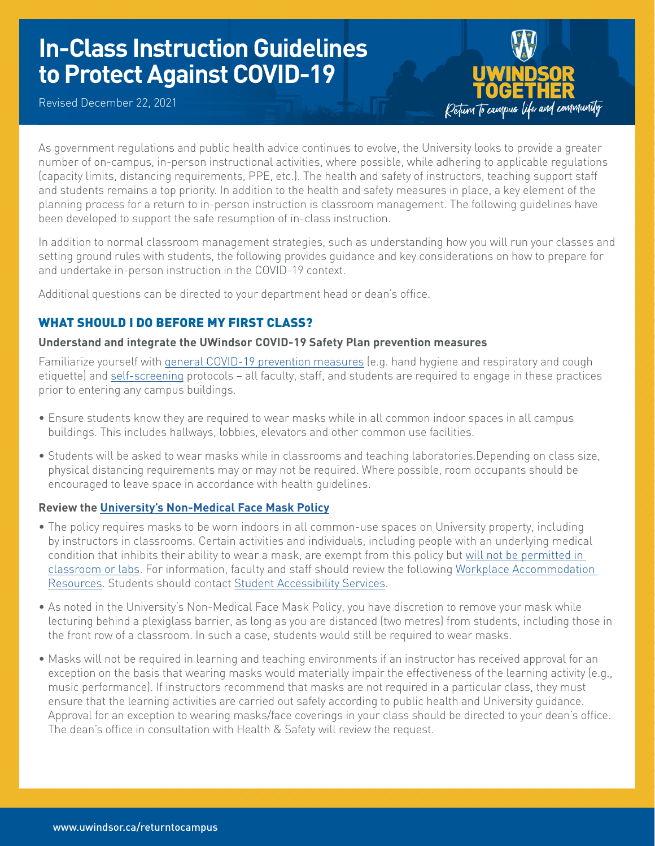# **In-Class Instruction Guidelines to Protect Against COVID-19**

Revised December 22, 2021



As government regulations and public health advice continues to evolve, the University looks to provide a greater number of on-campus, in-person instructional activities, where possible, while adhering to applicable regulations (capacity limits, distancing requirements, PPE, etc.). The health and safety of instructors, teaching support staff and students remains a top priority. In addition to the health and safety measures in place, a key element of the planning process for a return to in-person instruction is classroom management. The following guidelines have been developed to support the safe resumption of in-class instruction.

In addition to normal classroom management strategies, such as understanding how you will run your classes and setting ground rules with students, the following provides guidance and key considerations on how to prepare for and undertake in-person instruction in the COVID-19 context.

Additional questions can be directed to your department head or dean's office.

# WHAT SHOULD I DO BEFORE MY FIRST CLASS?

## **Understand and integrate the UWindsor COVID-19 Safety Plan prevention measures**

Familiarize yourself with [general COVID-19 prevention measures](https://www.uwindsor.ca/returntocampus/sites/uwindsor.ca.returntocampus/files/hs_guidelines_for_rtc-_final_1.pdf) (e.g. hand hygiene and respiratory and cough etiquette) and [self-screening](https://www.uwindsor.ca/returntocampus/339/self-assessment-questionnaire) protocols - all faculty, staff, and students are required to engage in these practices prior to entering any campus buildings.

- Ensure students know they are required to wear masks while in all common indoor spaces in all campus buildings. This includes hallways, lobbies, elevators and other common use facilities.
- Students will be asked to wear masks while in classrooms and teaching laboratories.Depending on class size, physical distancing requirements may or may not be required. Where possible, room occupants should be encouraged to leave space in accordance with health guidelines.

## **Review the [University's Non-Medical Face Mask Policy](https://lawlibrary.uwindsor.ca/Presto/content/Detail.aspx?ctID=OTdhY2QzODgtNjhlYi00ZWY0LTg2OTUtNmU5NjEzY2JkMWYx&rID=MjQw&qrs=RmFsc2U=&q=KFVuaXZlcnNpdHlfb2ZfV2luZHNvcl9DZW50cmFsX1BvbGljaWVzLkFsbFRleHQ6KENPVklEKSk=&ph=VHJ1ZQ==&bckToL=VHJ1ZQ==&rrtc=VHJ1ZQ==)**

- The policy requires masks to be worn indoors in all common-use spaces on University property, including by instructors in classrooms. Certain activities and individuals, including people with an underlying medical condition that inhibits their ability to wear a mask, are exempt from this policy but [will not be permitted in](https://www.uwindsor.ca/returntocampus/420/campus-procedures-students)  [classroom or labs.](https://www.uwindsor.ca/returntocampus/420/campus-procedures-students) For information, faculty and staff should review the following [Workplace Accommodation](https://www.uwindsor.ca/humanresources/workplaceaccommodation)  [Resources](https://www.uwindsor.ca/humanresources/workplaceaccommodation). Students should contact [Student Accessibility Services](https://www.uwindsor.ca/studentaccessibility/).
- As noted in the University's Non-Medical Face Mask Policy, you have discretion to remove your mask while lecturing behind a plexiglass barrier, as long as you are distanced (two metres) from students, including those in the front row of a classroom. In such a case, students would still be required to wear masks.
- Masks will not be required in learning and teaching environments if an instructor has received approval for an exception on the basis that wearing masks would materially impair the effectiveness of the learning activity (e.g., music performance). If instructors recommend that masks are not required in a particular class, they must ensure that the learning activities are carried out safely according to public health and University guidance. Approval for an exception to wearing masks/face coverings in your class should be directed to your dean's office. The dean's office in consultation with Health & Safety will review the request.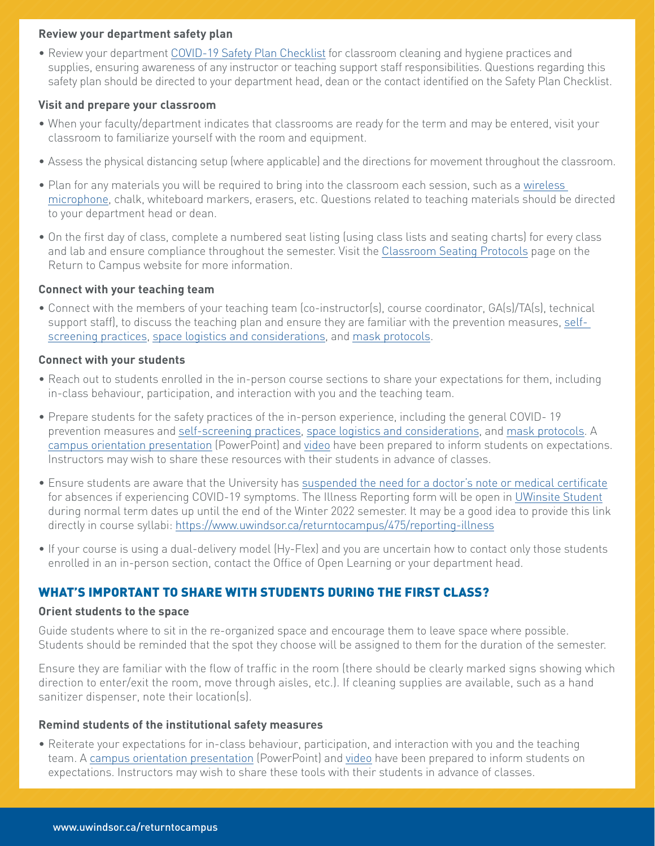## **Review your department safety plan**

• Review your department [COVID-19 Safety Plan Checklist](https://www.uwindsor.ca/returntocampus/sites/uwindsor.ca.returntocampus/files/appendix_a_covid-19_safety_checklist.pdf) for classroom cleaning and hygiene practices and supplies, ensuring awareness of any instructor or teaching support staff responsibilities. Questions regarding this safety plan should be directed to your department head, dean or the contact identified on the Safety Plan Checklist.

## **Visit and prepare your classroom**

- When your faculty/department indicates that classrooms are ready for the term and may be entered, visit your classroom to familiarize yourself with the room and equipment.
- Assess the physical distancing setup (where applicable) and the directions for movement throughout the classroom.
- Plan for any materials you will be required to bring into the classroom each session, such as a [wireless](https://uwindsor.teamdynamix.com/TDClient/1975/Portal/Requests/ServiceDet?ID=23887)  [microphone](https://uwindsor.teamdynamix.com/TDClient/1975/Portal/Requests/ServiceDet?ID=23887), chalk, whiteboard markers, erasers, etc. Questions related to teaching materials should be directed to your department head or dean.
- On the first day of class, complete a numbered seat listing (using class lists and seating charts) for every class and lab and ensure compliance throughout the semester. Visit the [Classroom Seating Protocols](https://www.uwindsor.ca/returntocampus/477/classroom-seating-protocols) page on the Return to Campus website for more information.

## **Connect with your teaching team**

• Connect with the members of your teaching team (co-instructor(s), course coordinator, GA(s)/TA(s), technical support staff), to discuss the teaching plan and ensure they are familiar with the prevention measures, [self](https://www.uwindsor.ca/returntocampus/339/self-assessment-questionnaire)[screening practices](https://www.uwindsor.ca/returntocampus/339/self-assessment-questionnaire), [space logistics and considerations](https://www.uwindsor.ca/returntocampus/418/building-and-facilities-protocols), and [mask protocols](https://www.uwindsor.ca/returntocampus/341/wear-mask).

## **Connect with your students**

- Reach out to students enrolled in the in-person course sections to share your expectations for them, including in-class behaviour, participation, and interaction with you and the teaching team.
- Prepare students for the safety practices of the in-person experience, including the general COVID- 19 prevention measures and [self-screening practices](https://www.uwindsor.ca/returntocampus/339/self-assessment-questionnaire), [space logistics and considerations,](https://www.uwindsor.ca/returntocampus/418/building-and-facilities-protocols) and [mask protocols](https://www.uwindsor.ca/returntocampus/341/wear-mask). A [campus orientation presentation](https://www.uwindsor.ca/returntocampus/sites/uwindsor.ca.returntocampus/files/rtc_classroom_presentation.pptx) (PowerPoint) and [video](https://www.youtube.com/watch?list=PLs_4xnKaG9Y-c8aGCaRJNsWmv4gUP9CqH&v=nJ5u9DKKW-g) have been prepared to inform students on expectations. Instructors may wish to share these resources with their students in advance of classes.
- Ensure students are aware that the University has [suspended the need for a doctor's note or medical certificate](https://ask.uwindsor.ca/app/answers/detail/a_id/577) for absences if experiencing COVID-19 symptoms. The Illness Reporting form will be open in [UWinsite Student](http://www.uwindsor.ca/registrar/uwinsite-student) during normal term dates up until the end of the Winter 2022 semester. It may be a good idea to provide this link directly in course syllabi: [https://www.uwindsor.ca/returntocampus/475/reporting-illness](https://www.uwindsor.ca/returntocampus/475/reporting-illness )
- If your course is using a dual-delivery model (Hy-Flex) and you are uncertain how to contact only those students enrolled in an in-person section, contact the Office of Open Learning or your department head.

## WHAT'S IMPORTANT TO SHARE WITH STUDENTS DURING THE FIRST CLASS?

### **Orient students to the space**

Guide students where to sit in the re-organized space and encourage them to leave space where possible. Students should be reminded that the spot they choose will be assigned to them for the duration of the semester.

Ensure they are familiar with the flow of traffic in the room (there should be clearly marked signs showing which direction to enter/exit the room, move through aisles, etc.). If cleaning supplies are available, such as a hand sanitizer dispenser, note their location(s).

### **Remind students of the institutional safety measures**

• Reiterate your expectations for in-class behaviour, participation, and interaction with you and the teaching team. A [campus orientation presentation](https://www.uwindsor.ca/returntocampus/sites/uwindsor.ca.returntocampus/files/rtc_classroom_presentation.pptx) (PowerPoint) and [video](https://www.youtube.com/watch?list=PLs_4xnKaG9Y-c8aGCaRJNsWmv4gUP9CqH&v=nJ5u9DKKW-g) have been prepared to inform students on expectations. Instructors may wish to share these tools with their students in advance of classes.